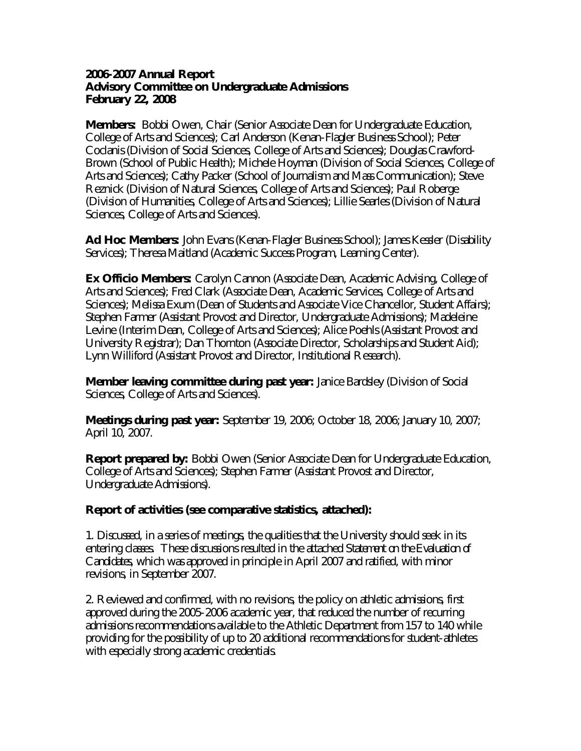**2006-2007 Annual Report Advisory Committee on Undergraduate Admissions February 22, 2008**

**Members:** Bobbi Owen, Chair (Senior Associate Dean for Undergraduate Education, College of Arts and Sciences); Carl Anderson (Kenan-Flagler Business School); Peter Coclanis (Division of Social Sciences, College of Arts and Sciences); Douglas Crawford-Brown (School of Public Health); Michele Hoyman (Division of Social Sciences, College of Arts and Sciences); Cathy Packer (School of Journalism and Mass Communication); Steve Reznick (Division of Natural Sciences, College of Arts and Sciences); Paul Roberge (Division of Humanities, College of Arts and Sciences); Lillie Searles (Division of Natural Sciences, College of Arts and Sciences).

**Ad Hoc Members:** John Evans (Kenan-Flagler Business School); James Kessler (Disability Services); Theresa Maitland (Academic Success Program, Learning Center).

**Ex Officio Members:** Carolyn Cannon (Associate Dean, Academic Advising, College of Arts and Sciences); Fred Clark (Associate Dean, Academic Services, College of Arts and Sciences); Melissa Exum (Dean of Students and Associate Vice Chancellor, Student Affairs); Stephen Farmer (Assistant Provost and Director, Undergraduate Admissions); Madeleine Levine (Interim Dean, College of Arts and Sciences); Alice Poehls (Assistant Provost and University Registrar); Dan Thornton (Associate Director, Scholarships and Student Aid); Lynn Williford (Assistant Provost and Director, Institutional Research).

**Member leaving committee during past year:** Janice Bardsley (Division of Social Sciences, College of Arts and Sciences).

**Meetings during past year:** September 19, 2006; October 18, 2006; January 10, 2007; April 10, 2007.

**Report prepared by:** Bobbi Owen (Senior Associate Dean for Undergraduate Education, College of Arts and Sciences); Stephen Farmer (Assistant Provost and Director, Undergraduate Admissions).

**Report of activities (see comparative statistics, attached):**

1. Discussed, in a series of meetings, the qualities that the University should seek in its entering classes. These discussions resulted in the attached *Statement on the Evaluation of Candidates*, which was approved in principle in April 2007 and ratified, with minor revisions, in September 2007.

2. Reviewed and confirmed, with no revisions, the policy on athletic admissions, first approved during the 2005-2006 academic year, that reduced the number of recurring admissions recommendations available to the Athletic Department from 157 to 140 while providing for the possibility of up to 20 additional recommendations for student-athletes with especially strong academic credentials.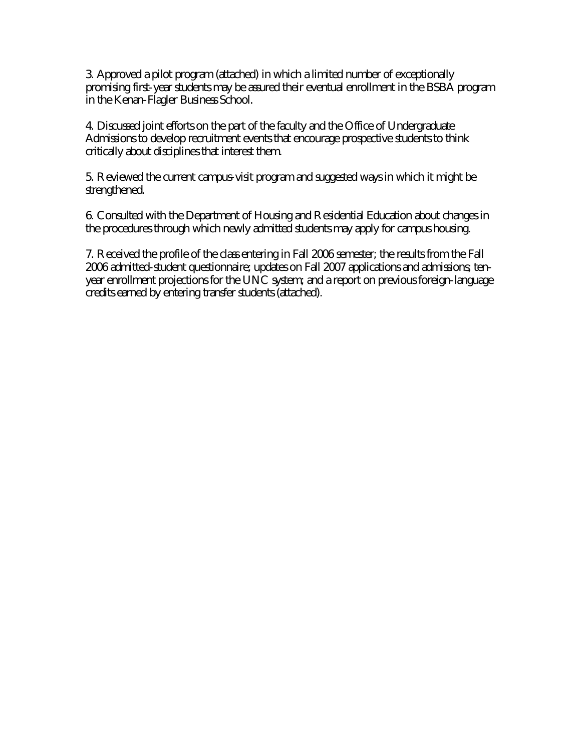3. Approved a pilot program (attached) in which a limited number of exceptionally promising first-year students may be assured their eventual enrollment in the BSBA program in the Kenan-Flagler Business School.

4. Discussed joint efforts on the part of the faculty and the Office of Undergraduate Admissions to develop recruitment events that encourage prospective students to think critically about disciplines that interest them.

5. Reviewed the current campus-visit program and suggested ways in which it might be strengthened.

6. Consulted with the Department of Housing and Residential Education about changes in the procedures through which newly admitted students may apply for campus housing.

7. Received the profile of the class entering in Fall 2006 semester; the results from the Fall 2006 admitted-student questionnaire; updates on Fall 2007 applications and admissions; tenyear enrollment projections for the UNC system; and a report on previous foreign-language credits earned by entering transfer students (attached).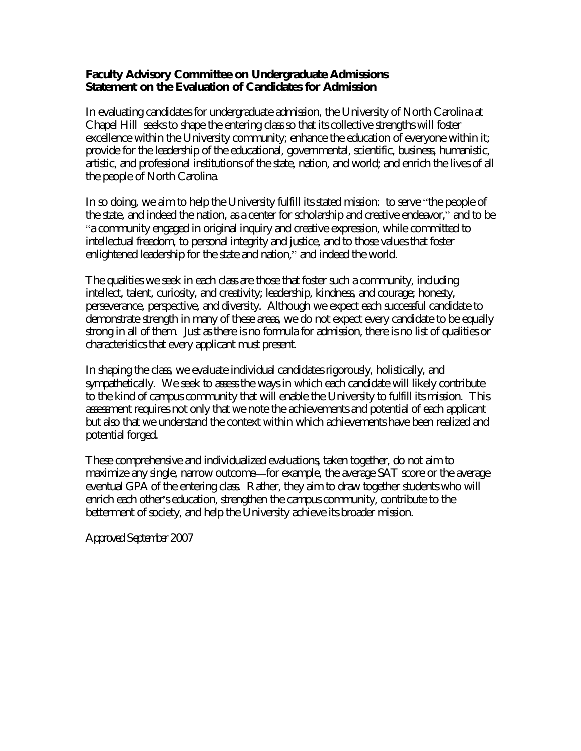**Faculty Advisory Committee on Undergraduate Admissions Statement on the Evaluation of Candidates for Admission**

In evaluating candidates for undergraduate admission, the University of North Carolina at Chapel Hill seeks to shape the entering class so that its collective strengths will foster excellence within the University community; enhance the education of everyone within it; provide for the leadership of the educational, governmental, scientific, business, humanistic, artistic, and professional institutions of the state, nation, and world; and enrich the lives of all the people of North Carolina.

In so doing, we aim to help the University fulfill its stated mission: to serve "the people of the state, and indeed the nation, as a center for scholarship and creative endeavor," and to be "a community engaged in original inquiry and creative expression, while committed to intellectual freedom, to personal integrity and justice, and to those values that foster enlightened leadership for the state and nation," and indeed the world.

The qualities we seek in each class are those that foster such a community, including intellect, talent, curiosity, and creativity; leadership, kindness, and courage; honesty, perseverance, perspective, and diversity. Although we expect each successful candidate to demonstrate strength in many of these areas, we do not expect every candidate to be equally strong in all of them. Just as there is no formula for admission, there is no list of qualities or characteristics that every applicant must present.

In shaping the class, we evaluate individual candidates rigorously, holistically, and sympathetically. We seek to assess the ways in which each candidate will likely contribute to the kind of campus community that will enable the University to fulfill its mission. This assessment requires not only that we note the achievements and potential of each applicant but also that we understand the context within which achievements have been realized and potential forged.

These comprehensive and individualized evaluations, taken together, do not aim to maximize any single, narrow outcome—for example, the average SAT score or the average eventual GPA of the entering class. Rather, they aim to draw together students who will enrich each other's education, strengthen the campus community, contribute to the betterment of society, and help the University achieve its broader mission.

*Approved September 2007*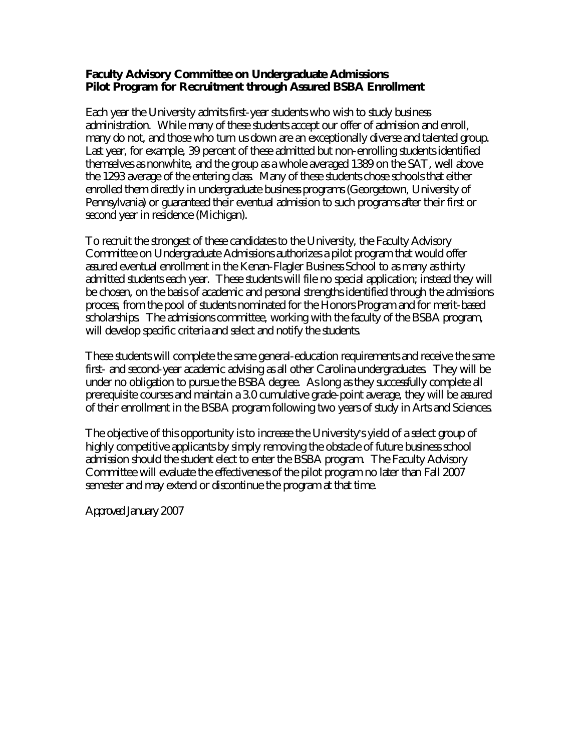**Faculty Advisory Committee on Undergraduate Admissions Pilot Program for Recruitment through Assured BSBA Enrollment**

Each year the University admits first-year students who wish to study business administration. While many of these students accept our offer of admission and enroll, many do not, and those who turn us down are an exceptionally diverse and talented group. Last year, for example, 39 percent of these admitted but non-enrolling students identified themselves as nonwhite, and the group as a whole averaged 1389 on the SAT, well above the 1293 average of the entering class. Many of these students chose schools that either enrolled them directly in undergraduate business programs (Georgetown, University of Pennsylvania) or guaranteed their eventual admission to such programs after their first or second year in residence (Michigan).

To recruit the strongest of these candidates to the University, the Faculty Advisory Committee on Undergraduate Admissions authorizes a pilot program that would offer assured eventual enrollment in the Kenan-Flagler Business School to as many as thirty admitted students each year. These students will file no special application; instead they will be chosen, on the basis of academic and personal strengths identified through the admissions process, from the pool of students nominated for the Honors Program and for merit-based scholarships. The admissions committee, working with the faculty of the BSBA program, will develop specific criteria and select and notify the students.

These students will complete the same general-education requirements and receive the same first- and second-year academic advising as all other Carolina undergraduates. They will be under no obligation to pursue the BSBA degree. As long as they successfully complete all prerequisite courses and maintain a 3.0 cumulative grade-point average, they will be assured of their enrollment in the BSBA program following two years of study in Arts and Sciences.

The objective of this opportunity is to increase the University's yield of a select group of highly competitive applicants by simply removing the obstacle of future business school admission should the student elect to enter the BSBA program. The Faculty Advisory Committee will evaluate the effectiveness of the pilot program no later than Fall 2007 semester and may extend or discontinue the program at that time.

*Approved January 2007*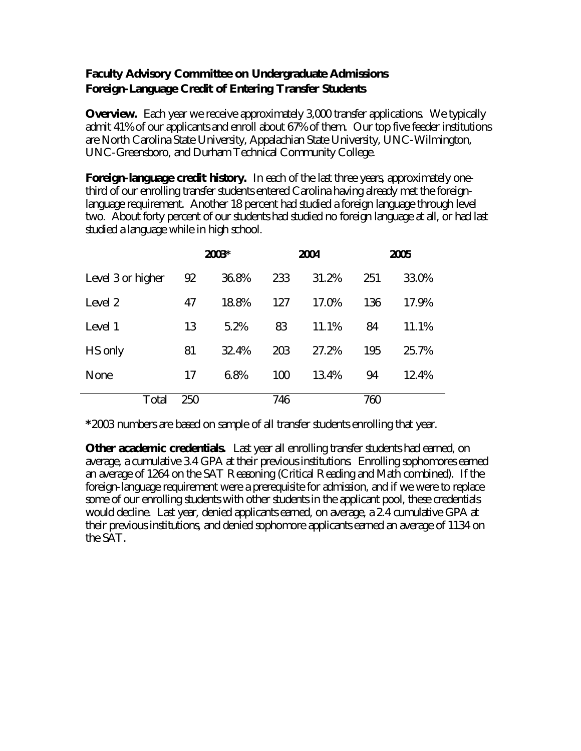# **Faculty Advisory Committee on Undergraduate Admissions Foreign-Language Credit of Entering Transfer Students**

**Overview.** Each year we receive approximately 3,000 transfer applications. We typically admit 41% of our applicants and enroll about 67% of them. Our top five feeder institutions are North Carolina State University, Appalachian State University, UNC-Wilmington, UNC-Greensboro, and Durham Technical Community College.

**Foreign-language credit history.** In each of the last three years, approximately onethird of our enrolling transfer students entered Carolina having already met the foreignlanguage requirement. Another 18 percent had studied a foreign language through level two. About forty percent of our students had studied no foreign language at all, or had last studied a language while in high school.

|                   |     | 2003* |     | 2004  | 2005 |       |  |
|-------------------|-----|-------|-----|-------|------|-------|--|
| Level 3 or higher | 92  | 36.8% | 233 | 31.2% | 251  | 33.0% |  |
| Level 2           | 47  | 18.8% | 127 | 17.0% | 136  | 17.9% |  |
| Level 1           | 13  | 5.2%  | 83  | 11.1% | 84   | 11.1% |  |
| HS only           | 81  | 32.4% | 203 | 27.2% | 195  | 25.7% |  |
| None              | 17  | 6.8%  | 100 | 13.4% | 94   | 12.4% |  |
| Total             | 250 |       | 746 |       | 760  |       |  |

**\***2003 numbers are based on sample of all transfer students enrolling that year.

**Other academic credentials.** Last year all enrolling transfer students had earned, on average, a cumulative 3.4 GPA at their previous institutions. Enrolling sophomores earned an average of 1264 on the SAT Reasoning (Critical Reading and Math combined). If the foreign-language requirement were a prerequisite for admission, and if we were to replace some of our enrolling students with other students in the applicant pool, these credentials would decline. Last year, denied applicants earned, on average, a 2.4 cumulative GPA at their previous institutions, and denied sophomore applicants earned an average of 1134 on the SAT.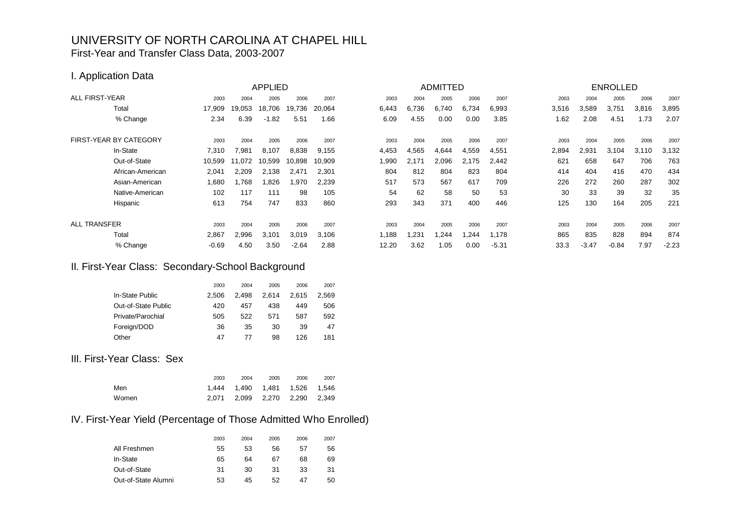# UNIVERSITY OF NORTH CAROLINA AT CHAPEL HILL First-Year and Transfer Class Data, 2003-2007

### I. Application Data

|                               |         |        | <b>APPLIED</b> |         |        |       |       | <b>ADMITTED</b> |        |         |       |         | <b>ENROLLED</b> |       |         |
|-------------------------------|---------|--------|----------------|---------|--------|-------|-------|-----------------|--------|---------|-------|---------|-----------------|-------|---------|
| <b>ALL FIRST-YEAR</b>         | 2003    | 2004   | 2005           | 2006    | 2007   | 2003  | 2004  | 2005            | 2006   | 2007    | 2003  | 2004    | 2005            | 2006  | 2007    |
| Total                         | 17,909  | 19,053 | 18,706         | 19,736  | 20,064 | 6,443 | 6,736 | 6,740           | 6,734  | 6,993   | 3,516 | 3,589   | 3,751           | 3,816 | 3,895   |
| % Change                      | 2.34    | 6.39   | $-1.82$        | 5.51    | 1.66   | 6.09  | 4.55  | 0.00            | 0.00   | 3.85    | 1.62  | 2.08    | 4.51            | 1.73  | 2.07    |
| <b>FIRST-YEAR BY CATEGORY</b> | 2003    | 2004   | 2005           | 2006    | 2007   | 2003  | 2004  | 2005            | 2006   | 2007    | 2003  | 2004    | 2005            | 2006  | 2007    |
| In-State                      | 7,310   | 981.   | 8,107          | 8,838   | 9,155  | 4,453 | 4,565 | 4,644           | 4,559  | 4,551   | 2,894 | 2,931   | 3,104           | 3,110 | 3,132   |
| Out-of-State                  | 10,599  | 11,072 | 10,599         | 10,898  | 10,909 | 1,990 | 2,171 | 2,096           | 2,175  | 2,442   | 621   | 658     | 647             | 706   | 763     |
| African-American              | 2,041   | 2,209  | 2,138          | 2.471   | 2,301  | 804   | 812   | 804             | 823    | 804     | 414   | 404     | 416             | 470   | 434     |
| Asian-American                | 1,680   | .768   | 826. ا         | 1,970   | 2,239  | 517   | 573   | 567             | 617    | 709     | 226   | 272     | 260             | 287   | 302     |
| Native-American               | 102     | 117    | 111            | 98      | 105    | 54    | 62    | 58              | 50     | 53      | 30    | 33      | 39              | 32    | 35      |
| Hispanic                      | 613     | 754    | 747            | 833     | 860    | 293   | 343   | 371             | 400    | 446     | 125   | 130     | 164             | 205   | 221     |
| <b>ALL TRANSFER</b>           | 2003    | 2004   | 2005           | 2006    | 2007   | 2003  | 2004  | 2005            | 2006   | 2007    | 2003  | 2004    | 2005            | 2006  | 2007    |
| Total                         | 2,867   | 2,996  | 3,101          | 3,019   | 3,106  | 1,188 | ,231  | ,244            | 244. ا | 1,178   | 865   | 835     | 828             | 894   | 874     |
| % Change                      | $-0.69$ | 4.50   | 3.50           | $-2.64$ | 2.88   | 12.20 | 3.62  | 1.05            | 0.00   | $-5.31$ | 33.3  | $-3.47$ | $-0.84$         | 7.97  | $-2.23$ |

# II. First-Year Class: Secondary-School Background

|                     | 2003  | 2004  | 2005  | 2006  | 2007  |
|---------------------|-------|-------|-------|-------|-------|
| In-State Public     | 2.506 | 2.498 | 2.614 | 2.615 | 2.569 |
| Out-of-State Public | 420   | 457   | 438   | 449   | 506   |
| Private/Parochial   | 505   | 522   | 571   | 587   | 592   |
| Foreign/DOD         | 36    | 35    | 30    | 39    | 47    |
| Other               | 47    | 77    | 98    | 126   | 181   |

### III. First-Year Class: Sex

|       | 2003 | 2004 | 2005                          | 2006 | 2007 |
|-------|------|------|-------------------------------|------|------|
| Men   |      |      | 1.444 1.490 1.481 1.526 1.546 |      |      |
| Women |      |      | 2.071 2.099 2.270 2.290 2.349 |      |      |

# IV. First-Year Yield (Percentage of Those Admitted Who Enrolled)

|                     | 2003 | 2004 | 2005 | 2006 | 2007 |
|---------------------|------|------|------|------|------|
| All Freshmen        | 55   | 53   | 56   | 57   | 56   |
| In-State            | 65   | 64   | 67   | 68   | 69   |
| Out-of-State        | 31   | 30   | 31   | 33   | 31   |
| Out-of-State Alumni | 53   | 45   | 52   | 47   | 50   |